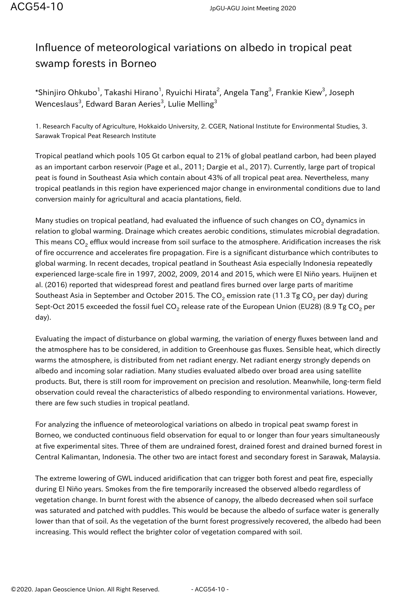## Influence of meteorological variations on albedo in tropical peat swamp forests in Borneo

\*Shinjiro Ohkubo $^1$ , Takashi Hirano $^1$ , Ryuichi Hirata $^2$ , Angela Tang $^3$ , Frankie Kiew $^3$ , Joseph Wenceslaus $^3$ , Edward Baran Aeries $^3$ , Lulie Melling $^3$ 

1. Research Faculty of Agriculture, Hokkaido University, 2. CGER, National Institute for Environmental Studies, 3. Sarawak Tropical Peat Research Institute

Tropical peatland which pools 105 Gt carbon equal to 21% of global peatland carbon, had been played as an important carbon reservoir (Page et al., 2011; Dargie et al., 2017). Currently, large part of tropical peat is found in Southeast Asia which contain about 43% of all tropical peat area. Nevertheless, many tropical peatlands in this region have experienced major change in environmental conditions due to land conversion mainly for agricultural and acacia plantations, field.

Many studies on tropical peatland, had evaluated the influence of such changes on CO<sub>2</sub> dynamics in relation to global warming. Drainage which creates aerobic conditions, stimulates microbial degradation. This means CO<sub>2</sub> efflux would increase from soil surface to the atmosphere. Aridification increases the risk of fire occurrence and accelerates fire propagation. Fire is a significant disturbance which contributes to global warming. In recent decades, tropical peatland in Southeast Asia especially Indonesia repeatedly experienced large-scale fire in 1997, 2002, 2009, 2014 and 2015, which were El Niño years. Huijnen et al. (2016) reported that widespread forest and peatland fires burned over large parts of maritime Southeast Asia in September and October 2015. The CO $_2$  emission rate (11.3 Tg CO $_2$  per day) during Sept-Oct 2015 exceeded the fossil fuel CO<sub>2</sub> release rate of the European Union (EU28) (8.9 Tg CO<sub>2</sub> per day).

Evaluating the impact of disturbance on global warming, the variation of energy fluxes between land and the atmosphere has to be considered, in addition to Greenhouse gas fluxes. Sensible heat, which directly warms the atmosphere, is distributed from net radiant energy. Net radiant energy strongly depends on albedo and incoming solar radiation. Many studies evaluated albedo over broad area using satellite products. But, there is still room for improvement on precision and resolution. Meanwhile, long-term field observation could reveal the characteristics of albedo responding to environmental variations. However, there are few such studies in tropical peatland.

For analyzing the influence of meteorological variations on albedo in tropical peat swamp forest in Borneo, we conducted continuous field observation for equal to or longer than four years simultaneously at five experimental sites. Three of them are undrained forest, drained forest and drained burned forest in Central Kalimantan, Indonesia. The other two are intact forest and secondary forest in Sarawak, Malaysia.

The extreme lowering of GWL induced aridification that can trigger both forest and peat fire, especially during El Niño years. Smokes from the fire temporarily increased the observed albedo regardless of vegetation change. In burnt forest with the absence of canopy, the albedo decreased when soil surface was saturated and patched with puddles. This would be because the albedo of surface water is generally lower than that of soil. As the vegetation of the burnt forest progressively recovered, the albedo had been increasing. This would reflect the brighter color of vegetation compared with soil.